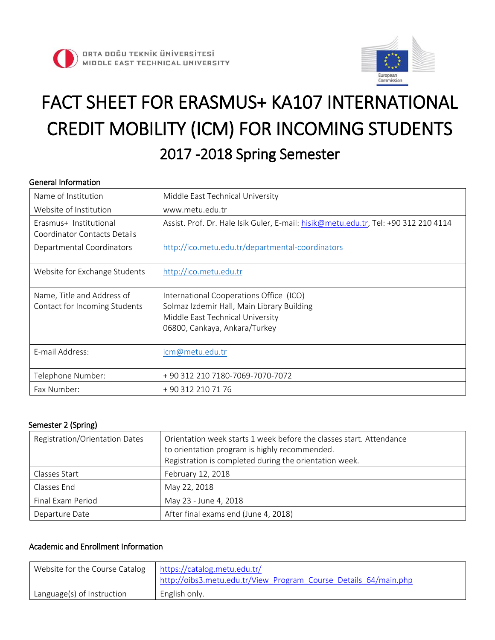



# FACT SHEET FOR ERASMUS+ KA107 INTERNATIONAL CREDIT MOBILITY (ICM) FOR INCOMING STUDENTS 2017 -2018 Spring Semester

### General Information

| Name of Institution                                         | Middle East Technical University                                                                                                                           |
|-------------------------------------------------------------|------------------------------------------------------------------------------------------------------------------------------------------------------------|
| Website of Institution                                      | www.metu.edu.tr                                                                                                                                            |
| Erasmus+ Institutional<br>Coordinator Contacts Details      | Assist. Prof. Dr. Hale Isik Guler, E-mail: hisik@metu.edu.tr, Tel: +90 312 210 4114                                                                        |
| Departmental Coordinators                                   | http://ico.metu.edu.tr/departmental-coordinators                                                                                                           |
| Website for Exchange Students                               | http://ico.metu.edu.tr                                                                                                                                     |
| Name, Title and Address of<br>Contact for Incoming Students | International Cooperations Office (ICO)<br>Solmaz Izdemir Hall, Main Library Building<br>Middle East Technical University<br>06800, Cankaya, Ankara/Turkey |
| E-mail Address:                                             | icm@metu.edu.tr                                                                                                                                            |
| Telephone Number:                                           | +90 312 210 7180-7069-7070-7072                                                                                                                            |
| Fax Number:                                                 | +90 312 210 71 76                                                                                                                                          |

#### Semester 2 (Spring)

| Registration/Orientation Dates | Orientation week starts 1 week before the classes start. Attendance<br>to orientation program is highly recommended.<br>Registration is completed during the orientation week. |
|--------------------------------|--------------------------------------------------------------------------------------------------------------------------------------------------------------------------------|
| Classes Start                  | February 12, 2018                                                                                                                                                              |
| Classes End                    | May 22, 2018                                                                                                                                                                   |
| Final Exam Period              | May 23 - June 4, 2018                                                                                                                                                          |
| Departure Date                 | After final exams end (June 4, 2018)                                                                                                                                           |

### Academic and Enrollment Information

| Website for the Course Catalog | https://catalog.metu.edu.tr/<br>I http://oibs3.metu.edu.tr/View Program Course Details 64/main.php |
|--------------------------------|----------------------------------------------------------------------------------------------------|
| Language(s) of Instruction     | English only.                                                                                      |